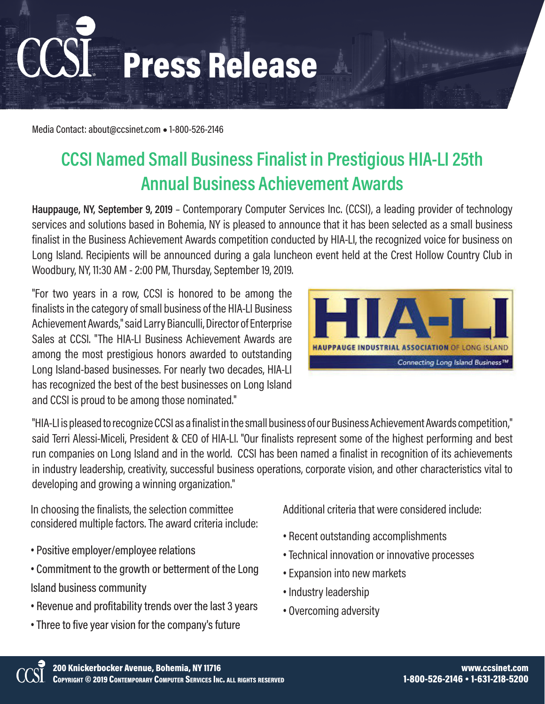## Press Release

Media Contact: about@ccsinet.com **●** 1-800-526-2146

## **CCSI Named Small Business Finalist in Prestigious HIA-LI 25th Annual Business Achievement Awards**

**Hauppauge, NY, September 9, 2019** – Contemporary Computer Services Inc. (CCSI), a leading provider of technology services and solutions based in Bohemia, NY is pleased to announce that it has been selected as a small business finalist in the Business Achievement Awards competition conducted by HIA-LI, the recognized voice for business on Long Island. Recipients will be announced during a gala luncheon event held at the Crest Hollow Country Club in Woodbury, NY, 11:30 AM - 2:00 PM, Thursday, September 19, 2019.

"For two years in a row, CCSI is honored to be among the finalists in the category of small business of the HIA-LI Business Achievement Awards," said Larry Bianculli, Director of Enterprise Sales at CCSI. "The HIA-LI Business Achievement Awards are among the most prestigious honors awarded to outstanding Long Island-based businesses. For nearly two decades, HIA-LI has recognized the best of the best businesses on Long Island and CCSI is proud to be among those nominated."



"HIA-LI is pleased to recognize CCSI as a finalist in the small business of our Business Achievement Awards competition," said Terri Alessi-Miceli, President & CEO of HIA-LI. "Our finalists represent some of the highest performing and best run companies on Long Island and in the world. CCSI has been named a finalist in recognition of its achievements in industry leadership, creativity, successful business operations, corporate vision, and other characteristics vital to developing and growing a winning organization."

In choosing the finalists, the selection committee considered multiple factors. The award criteria include:

- Positive employer/employee relations
- Commitment to the growth or betterment of the Long Island business community
- Revenue and profitability trends over the last 3 years
- Three to five year vision for the company's future

Additional criteria that were considered include:

- Recent outstanding accomplishments
- •Technical innovation or innovative processes
- Expansion into new markets
- Industry leadership
- Overcoming adversity